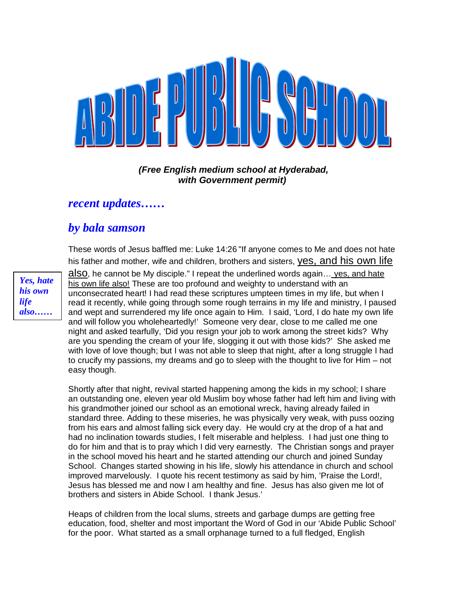

#### *(Free English medium school at Hyderabad, with Government permit)*

### *recent updates……*

## *by bala samson*

These words of Jesus baffled me: Luke 14:26 "If anyone comes to Me and does not hate his father and mother, wife and children, brothers and sisters, yes, and his own life

*Yes, hate his own life also……*

also, he cannot be My disciple." I repeat the underlined words again… yes, and hate his own life also! These are too profound and weighty to understand with an unconsecrated heart! I had read these scriptures umpteen times in my life, but when I read it recently, while going through some rough terrains in my life and ministry, I paused and wept and surrendered my life once again to Him. I said, 'Lord, I do hate my own life and will follow you wholeheartedly!' Someone very dear, close to me called me one night and asked tearfully, 'Did you resign your job to work among the street kids? Why are you spending the cream of your life, slogging it out with those kids?' She asked me with love of love though; but I was not able to sleep that night, after a long struggle I had to crucify my passions, my dreams and go to sleep with the thought to live for Him – not easy though.

Shortly after that night, revival started happening among the kids in my school; I share an outstanding one, eleven year old Muslim boy whose father had left him and living with his grandmother joined our school as an emotional wreck, having already failed in standard three. Adding to these miseries, he was physically very weak, with puss oozing from his ears and almost falling sick every day. He would cry at the drop of a hat and had no inclination towards studies, I felt miserable and helpless. I had just one thing to do for him and that is to pray which I did very earnestly. The Christian songs and prayer in the school moved his heart and he started attending our church and joined Sunday School. Changes started showing in his life, slowly his attendance in church and school improved marvelously. I quote his recent testimony as said by him, 'Praise the Lord!, Jesus has blessed me and now I am healthy and fine. Jesus has also given me lot of brothers and sisters in Abide School. I thank Jesus.'

Heaps of children from the local slums, streets and garbage dumps are getting free education, food, shelter and most important the Word of God in our 'Abide Public School' for the poor. What started as a small orphanage turned to a full fledged, English